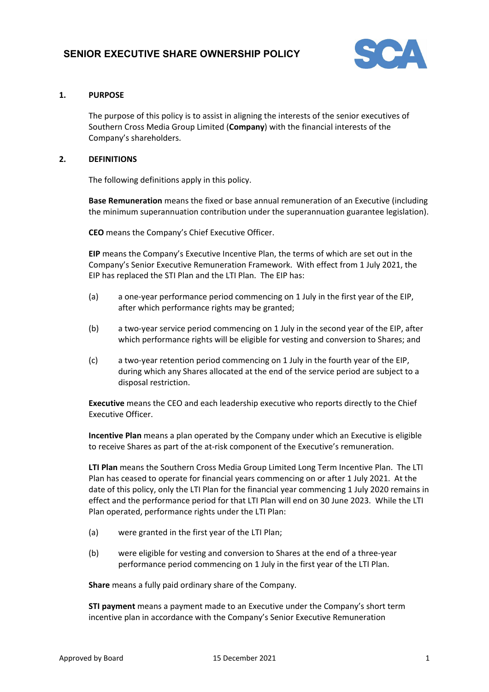

# **1. PURPOSE**

The purpose of this policy is to assist in aligning the interests of the senior executives of Southern Cross Media Group Limited (**Company**) with the financial interests of the Company's shareholders.

# **2. DEFINITIONS**

The following definitions apply in this policy.

**Base Remuneration** means the fixed or base annual remuneration of an Executive (including the minimum superannuation contribution under the superannuation guarantee legislation).

**CEO** means the Company's Chief Executive Officer.

**EIP** means the Company's Executive Incentive Plan, the terms of which are set out in the Company's Senior Executive Remuneration Framework. With effect from 1 July 2021, the EIP has replaced the STI Plan and the LTI Plan. The EIP has:

- (a) a one-year performance period commencing on 1 July in the first year of the EIP, after which performance rights may be granted;
- (b) a two-year service period commencing on 1 July in the second year of the EIP, after which performance rights will be eligible for vesting and conversion to Shares; and
- (c) a two-year retention period commencing on 1 July in the fourth year of the EIP, during which any Shares allocated at the end of the service period are subject to a disposal restriction.

**Executive** means the CEO and each leadership executive who reports directly to the Chief Executive Officer.

**Incentive Plan** means a plan operated by the Company under which an Executive is eligible to receive Shares as part of the at-risk component of the Executive's remuneration.

**LTI Plan** means the Southern Cross Media Group Limited Long Term Incentive Plan. The LTI Plan has ceased to operate for financial years commencing on or after 1 July 2021. At the date of this policy, only the LTI Plan for the financial year commencing 1 July 2020 remains in effect and the performance period for that LTI Plan will end on 30 June 2023. While the LTI Plan operated, performance rights under the LTI Plan:

- (a) were granted in the first year of the LTI Plan;
- (b) were eligible for vesting and conversion to Shares at the end of a three-year performance period commencing on 1 July in the first year of the LTI Plan.

**Share** means a fully paid ordinary share of the Company.

**STI payment** means a payment made to an Executive under the Company's short term incentive plan in accordance with the Company's Senior Executive Remuneration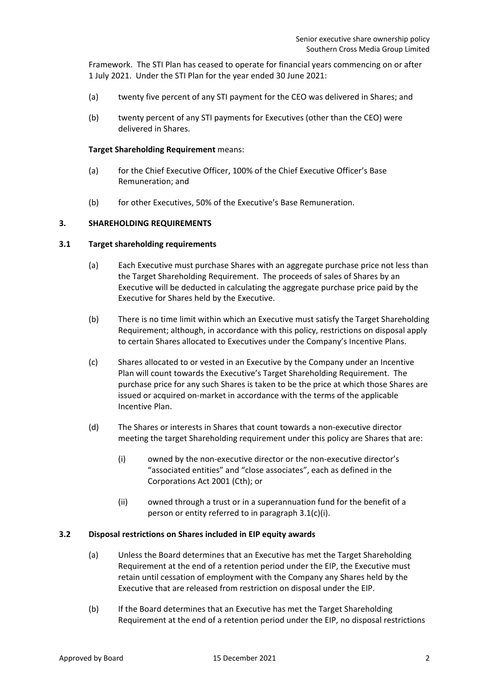Framework. The STI Plan has ceased to operate for financial years commencing on or after 1 July 2021. Under the STI Plan for the year ended 30 June 2021:

- (a) twenty five percent of any STI payment for the CEO was delivered in Shares; and
- (b) twenty percent of any STI payments for Executives (other than the CEO) were delivered in Shares.

#### <span id="page-1-1"></span>**Target Shareholding Requirement** means:

- (a) for the Chief Executive Officer, 100% of the Chief Executive Officer's Base Remuneration; and
- (b) for other Executives, 50% of the Executive's Base Remuneration.

### <span id="page-1-3"></span>**3. SHAREHOLDING REQUIREMENTS**

### **3.1 Target shareholding requirements**

- (a) Each Executive must purchase Shares with an aggregate purchase price not less than the Target Shareholding Requirement. The proceeds of sales of Shares by an Executive will be deducted in calculating the aggregate purchase price paid by the Executive for Shares held by the Executive.
- (b) There is no time limit within which an Executive must satisfy the Target Shareholding Requirement; although, in accordance with this policy, restrictions on disposal apply to certain Shares allocated to Executives under the Company's Incentive Plans.
- (c) Shares allocated to or vested in an Executive by the Company under an Incentive Plan will count towards the Executive's Target Shareholding Requirement. The purchase price for any such Shares is taken to be the price at which those Shares are issued or acquired on-market in accordance with the terms of the applicable Incentive Plan.
- <span id="page-1-0"></span>(d) The Shares or interests in Shares that count towards a non-executive director meeting the target Shareholding requirement under this policy are Shares that are:
	- (i) owned by the non-executive director or the non-executive director's "associated entities" and "close associates", each as defined in the Corporations Act 2001 (Cth); or
	- (ii) owned through a trust or in a superannuation fund for the benefit of a person or entity referred to in paragraph [3.1\(c\)\(i\).](#page-1-0)

### <span id="page-1-2"></span>**3.2 Disposal restrictions on Shares included in EIP equity awards**

- (a) Unless the Board determines that an Executive has met the Target Shareholding Requirement at the end of a retention period under the EIP, the Executive must retain until cessation of employment with the Company any Shares held by the Executive that are released from restriction on disposal under the EIP.
- (b) If the Board determines that an Executive has met the Target Shareholding Requirement at the end of a retention period under the EIP, no disposal restrictions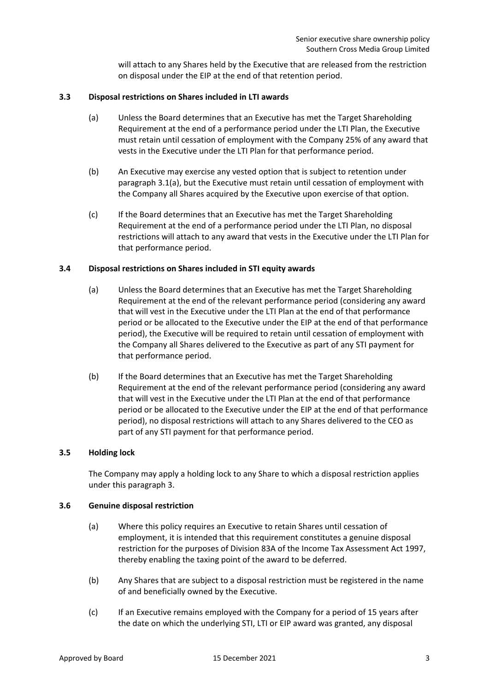will attach to any Shares held by the Executive that are released from the restriction on disposal under the EIP at the end of that retention period.

## <span id="page-2-1"></span><span id="page-2-0"></span>**3.3 Disposal restrictions on Shares included in LTI awards**

- (a) Unless the Board determines that an Executive has met the Target Shareholding Requirement at the end of a performance period under the LTI Plan, the Executive must retain until cessation of employment with the Company 25% of any award that vests in the Executive under the LTI Plan for that performance period.
- (b) An Executive may exercise any vested option that is subject to retention under paragraph [3.1\(a\),](#page-2-0) but the Executive must retain until cessation of employment with the Company all Shares acquired by the Executive upon exercise of that option.
- (c) If the Board determines that an Executive has met the Target Shareholding Requirement at the end of a performance period under the LTI Plan, no disposal restrictions will attach to any award that vests in the Executive under the LTI Plan for that performance period.

## <span id="page-2-2"></span>**3.4 Disposal restrictions on Shares included in STI equity awards**

- (a) Unless the Board determines that an Executive has met the Target Shareholding Requirement at the end of the relevant performance period (considering any award that will vest in the Executive under the LTI Plan at the end of that performance period or be allocated to the Executive under the EIP at the end of that performance period), the Executive will be required to retain until cessation of employment with the Company all Shares delivered to the Executive as part of any STI payment for that performance period.
- (b) If the Board determines that an Executive has met the Target Shareholding Requirement at the end of the relevant performance period (considering any award that will vest in the Executive under the LTI Plan at the end of that performance period or be allocated to the Executive under the EIP at the end of that performance period), no disposal restrictions will attach to any Shares delivered to the CEO as part of any STI payment for that performance period.

### **3.5 Holding lock**

The Company may apply a holding lock to any Share to which a disposal restriction applies under this paragraph [3.](#page-1-1)

### **3.6 Genuine disposal restriction**

- (a) Where this policy requires an Executive to retain Shares until cessation of employment, it is intended that this requirement constitutes a genuine disposal restriction for the purposes of Division 83A of the Income Tax Assessment Act 1997, thereby enabling the taxing point of the award to be deferred.
- (b) Any Shares that are subject to a disposal restriction must be registered in the name of and beneficially owned by the Executive.
- (c) If an Executive remains employed with the Company for a period of 15 years after the date on which the underlying STI, LTI or EIP award was granted, any disposal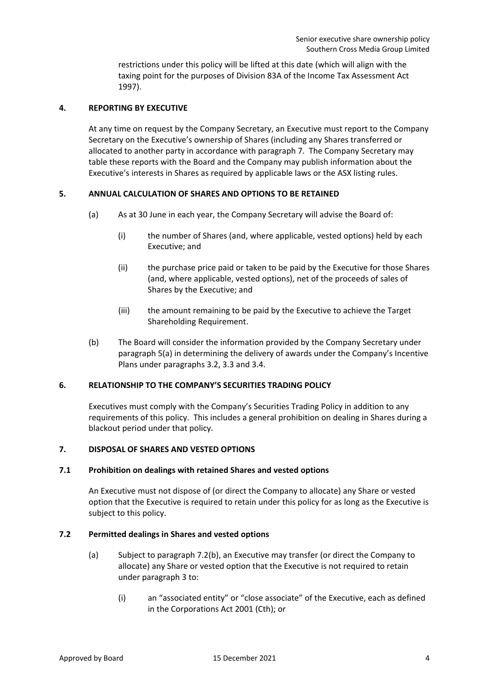restrictions under this policy will be lifted at this date (which will align with the taxing point for the purposes of Division 83A of the Income Tax Assessment Act 1997).

## **4. REPORTING BY EXECUTIVE**

At any time on request by the Company Secretary, an Executive must report to the Company Secretary on the Executive's ownership of Shares (including any Shares transferred or allocated to another party in accordance with paragraph [7.](#page-3-0) The Company Secretary may table these reports with the Board and the Company may publish information about the Executive's interests in Shares as required by applicable laws or the ASX listing rules.

## <span id="page-3-1"></span>**5. ANNUAL CALCULATION OF SHARES AND OPTIONS TO BE RETAINED**

- (a) As at 30 June in each year, the Company Secretary will advise the Board of:
	- (i) the number of Shares (and, where applicable, vested options) held by each Executive; and
	- (ii) the purchase price paid or taken to be paid by the Executive for those Shares (and, where applicable, vested options), net of the proceeds of sales of Shares by the Executive; and
	- (iii) the amount remaining to be paid by the Executive to achieve the Target Shareholding Requirement.
- (b) The Board will consider the information provided by the Company Secretary under paragraph [5\(a\)](#page-3-1) in determining the delivery of awards under the Company's Incentive Plans under paragraphs [3.2,](#page-1-2) [3.3](#page-2-1) and [3.4.](#page-2-2)

### **6. RELATIONSHIP TO THE COMPANY'S SECURITIES TRADING POLICY**

Executives must comply with the Company's Securities Trading Policy in addition to any requirements of this policy. This includes a general prohibition on dealing in Shares during a blackout period under that policy.

## <span id="page-3-0"></span>**7. DISPOSAL OF SHARES AND VESTED OPTIONS**

### **7.1 Prohibition on dealings with retained Shares and vested options**

An Executive must not dispose of (or direct the Company to allocate) any Share or vested option that the Executive is required to retain under this policy for as long as the Executive is subject to this policy.

### <span id="page-3-4"></span><span id="page-3-3"></span>**7.2 Permitted dealings in Shares and vested options**

- <span id="page-3-2"></span>(a) Subject to paragraph [7.2\(b\),](#page-4-0) an Executive may transfer (or direct the Company to allocate) any Share or vested option that the Executive is not required to retain under paragraph [3](#page-1-3) to:
	- (i) an "associated entity" or "close associate" of the Executive, each as defined in the Corporations Act 2001 (Cth); or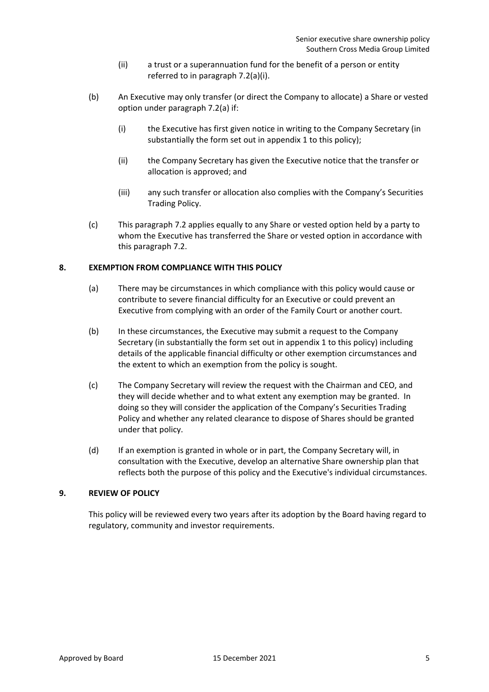- (ii) a trust or a superannuation fund for the benefit of a person or entity referred to in paragraph [7.2\(a\)\(i\).](#page-3-2)
- <span id="page-4-0"></span>(b) An Executive may only transfer (or direct the Company to allocate) a Share or vested option under paragraph [7.2\(a\)](#page-3-3) if:
	- (i) the Executive has first given notice in writing to the Company Secretary (in substantially the form set out in appendix 1 to this policy);
	- (ii) the Company Secretary has given the Executive notice that the transfer or allocation is approved; and
	- (iii) any such transfer or allocation also complies with the Company's Securities Trading Policy.
- (c) This paragraph [7.2](#page-3-4) applies equally to any Share or vested option held by a party to whom the Executive has transferred the Share or vested option in accordance with this paragraph [7.2.](#page-3-4)

## **8. EXEMPTION FROM COMPLIANCE WITH THIS POLICY**

- (a) There may be circumstances in which compliance with this policy would cause or contribute to severe financial difficulty for an Executive or could prevent an Executive from complying with an order of the Family Court or another court.
- (b) In these circumstances, the Executive may submit a request to the Company Secretary (in substantially the form set out in appendix 1 to this policy) including details of the applicable financial difficulty or other exemption circumstances and the extent to which an exemption from the policy is sought.
- (c) The Company Secretary will review the request with the Chairman and CEO, and they will decide whether and to what extent any exemption may be granted. In doing so they will consider the application of the Company's Securities Trading Policy and whether any related clearance to dispose of Shares should be granted under that policy.
- (d) If an exemption is granted in whole or in part, the Company Secretary will, in consultation with the Executive, develop an alternative Share ownership plan that reflects both the purpose of this policy and the Executive's individual circumstances.

### **9. REVIEW OF POLICY**

This policy will be reviewed every two years after its adoption by the Board having regard to regulatory, community and investor requirements.